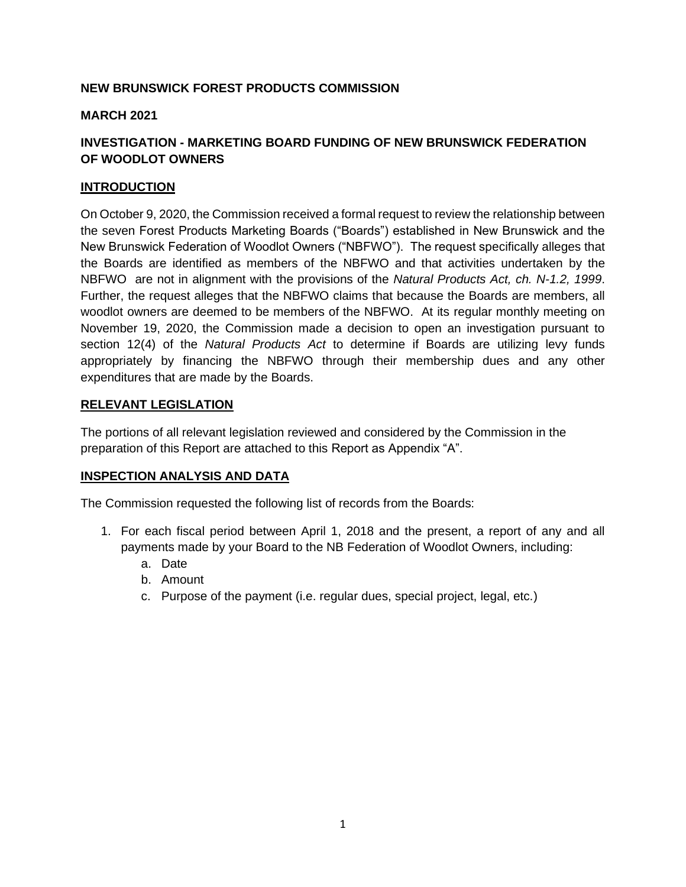# **NEW BRUNSWICK FOREST PRODUCTS COMMISSION**

### **MARCH 2021**

# **INVESTIGATION - MARKETING BOARD FUNDING OF NEW BRUNSWICK FEDERATION OF WOODLOT OWNERS**

### **INTRODUCTION**

On October 9, 2020, the Commission received a formal request to review the relationship between the seven Forest Products Marketing Boards ("Boards") established in New Brunswick and the New Brunswick Federation of Woodlot Owners ("NBFWO"). The request specifically alleges that the Boards are identified as members of the NBFWO and that activities undertaken by the NBFWO are not in alignment with the provisions of the *Natural Products Act, ch. N-1.2, 1999*. Further, the request alleges that the NBFWO claims that because the Boards are members, all woodlot owners are deemed to be members of the NBFWO. At its regular monthly meeting on November 19, 2020, the Commission made a decision to open an investigation pursuant to section 12(4) of the *Natural Products Act* to determine if Boards are utilizing levy funds appropriately by financing the NBFWO through their membership dues and any other expenditures that are made by the Boards.

#### **RELEVANT LEGISLATION**

The portions of all relevant legislation reviewed and considered by the Commission in the preparation of this Report are attached to this Report as Appendix "A".

# **INSPECTION ANALYSIS AND DATA**

The Commission requested the following list of records from the Boards:

- 1. For each fiscal period between April 1, 2018 and the present, a report of any and all payments made by your Board to the NB Federation of Woodlot Owners, including:
	- a. Date
	- b. Amount
	- c. Purpose of the payment (i.e. regular dues, special project, legal, etc.)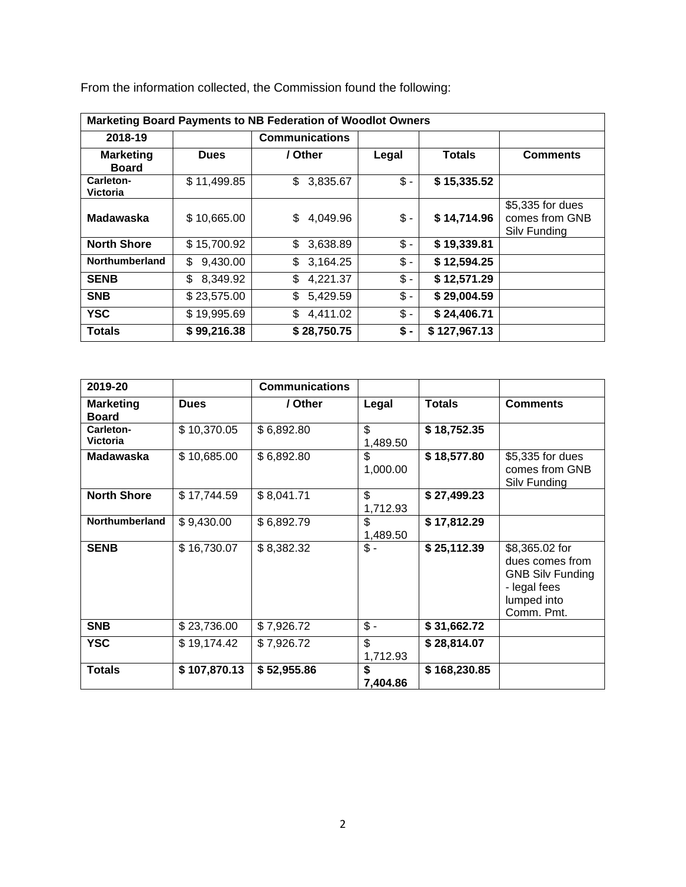| <b>Marketing Board Payments to NB Federation of Woodlot Owners</b> |                |                       |       |               |                                                    |
|--------------------------------------------------------------------|----------------|-----------------------|-------|---------------|----------------------------------------------------|
| 2018-19                                                            |                | <b>Communications</b> |       |               |                                                    |
| <b>Marketing</b><br><b>Board</b>                                   | <b>Dues</b>    | / Other               | Legal | <b>Totals</b> | <b>Comments</b>                                    |
| Carleton-<br>Victoria                                              | \$11,499.85    | \$<br>3,835.67        | $$ -$ | \$15,335.52   |                                                    |
| <b>Madawaska</b>                                                   | \$10,665.00    | 4,049.96<br>\$        | \$ -  | \$14,714.96   | \$5,335 for dues<br>comes from GNB<br>Silv Funding |
| <b>North Shore</b>                                                 | \$15,700.92    | 3,638.89<br>\$        | $$ -$ | \$19,339.81   |                                                    |
| <b>Northumberland</b>                                              | \$<br>9,430.00 | \$<br>3,164.25        | $$ -$ | \$12,594.25   |                                                    |
| <b>SENB</b>                                                        | \$<br>8,349.92 | 4,221.37<br>\$        | $$ -$ | \$12,571.29   |                                                    |
| <b>SNB</b>                                                         | \$23,575.00    | \$<br>5,429.59        | $$ -$ | \$29,004.59   |                                                    |
| <b>YSC</b>                                                         | \$19,995.69    | \$<br>4,411.02        | $$ -$ | \$24,406.71   |                                                    |
| <b>Totals</b>                                                      | \$99,216.38    | \$28,750.75           | \$ -  | \$127,967.13  |                                                    |

From the information collected, the Commission found the following:

| 2019-20                          |              | <b>Communications</b> |                 |               |                                                                                                           |
|----------------------------------|--------------|-----------------------|-----------------|---------------|-----------------------------------------------------------------------------------------------------------|
| <b>Marketing</b><br><b>Board</b> | <b>Dues</b>  | / Other               | Legal           | <b>Totals</b> | <b>Comments</b>                                                                                           |
| Carleton-<br><b>Victoria</b>     | \$10,370.05  | \$6,892.80            | \$<br>1,489.50  | \$18,752.35   |                                                                                                           |
| <b>Madawaska</b>                 | \$10,685.00  | \$6,892.80            | \$<br>1,000.00  | \$18,577.80   | \$5,335 for dues<br>comes from GNB<br>Silv Funding                                                        |
| <b>North Shore</b>               | \$17,744.59  | \$8,041.71            | \$<br>1,712.93  | \$27,499.23   |                                                                                                           |
| <b>Northumberland</b>            | \$9,430.00   | \$6,892.79            | \$<br>1,489.50  | \$17,812.29   |                                                                                                           |
| <b>SENB</b>                      | \$16,730.07  | \$8,382.32            | $\frac{2}{3}$ . | \$25,112.39   | \$8,365.02 for<br>dues comes from<br><b>GNB Silv Funding</b><br>- legal fees<br>lumped into<br>Comm. Pmt. |
| <b>SNB</b>                       | \$23,736.00  | \$7,926.72            | $\frac{2}{3}$ . | \$31,662.72   |                                                                                                           |
| <b>YSC</b>                       | \$19,174.42  | \$7,926.72            | \$<br>1,712.93  | \$28,814.07   |                                                                                                           |
| <b>Totals</b>                    | \$107,870.13 | \$52,955.86           | \$<br>7,404.86  | \$168,230.85  |                                                                                                           |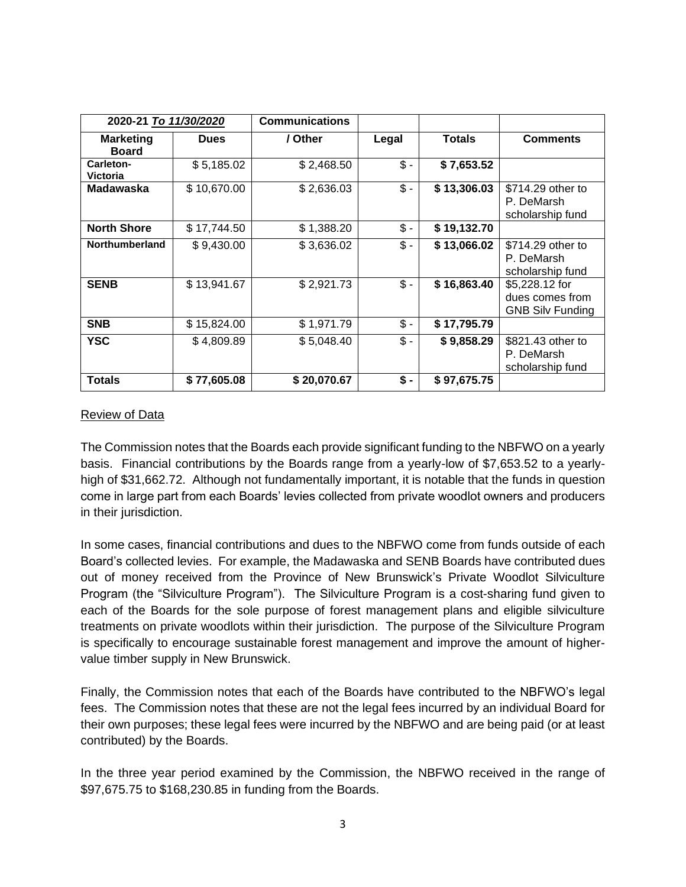| 2020-21 To 11/30/2020            |             | <b>Communications</b> |                 |               |                                                              |
|----------------------------------|-------------|-----------------------|-----------------|---------------|--------------------------------------------------------------|
| <b>Marketing</b><br><b>Board</b> | <b>Dues</b> | / Other               | Legal           | <b>Totals</b> | <b>Comments</b>                                              |
| Carleton-<br><b>Victoria</b>     | \$5,185.02  | \$2,468.50            | $\frac{2}{3}$ - | \$7,653.52    |                                                              |
| <b>Madawaska</b>                 | \$10,670.00 | \$2,636.03            | $$ -$           | \$13,306.03   | \$714.29 other to<br>P. DeMarsh<br>scholarship fund          |
| <b>North Shore</b>               | \$17,744.50 | \$1,388.20            | $$ -$           | \$19,132.70   |                                                              |
| <b>Northumberland</b>            | \$9,430.00  | \$3,636.02            | $\mathsf{\$}$ - | \$13,066.02   | \$714.29 other to<br>P. DeMarsh<br>scholarship fund          |
| <b>SENB</b>                      | \$13,941.67 | \$2,921.73            | $$ -$           | \$16,863.40   | \$5,228.12 for<br>dues comes from<br><b>GNB Silv Funding</b> |
| <b>SNB</b>                       | \$15,824.00 | \$1,971.79            | $$ -$           | \$17,795.79   |                                                              |
| <b>YSC</b>                       | \$4,809.89  | \$5,048.40            | $$ -$           | \$9,858.29    | \$821.43 other to<br>P. DeMarsh<br>scholarship fund          |
| <b>Totals</b>                    | \$77,605.08 | \$20,070.67           | $$ -$           | \$97,675.75   |                                                              |

### Review of Data

The Commission notes that the Boards each provide significant funding to the NBFWO on a yearly basis. Financial contributions by the Boards range from a yearly-low of \$7,653.52 to a yearlyhigh of \$31,662.72. Although not fundamentally important, it is notable that the funds in question come in large part from each Boards' levies collected from private woodlot owners and producers in their jurisdiction.

In some cases, financial contributions and dues to the NBFWO come from funds outside of each Board's collected levies. For example, the Madawaska and SENB Boards have contributed dues out of money received from the Province of New Brunswick's Private Woodlot Silviculture Program (the "Silviculture Program"). The Silviculture Program is a cost-sharing fund given to each of the Boards for the sole purpose of forest management plans and eligible silviculture treatments on private woodlots within their jurisdiction. The purpose of the Silviculture Program is specifically to encourage sustainable forest management and improve the amount of highervalue timber supply in New Brunswick.

Finally, the Commission notes that each of the Boards have contributed to the NBFWO's legal fees. The Commission notes that these are not the legal fees incurred by an individual Board for their own purposes; these legal fees were incurred by the NBFWO and are being paid (or at least contributed) by the Boards.

In the three year period examined by the Commission, the NBFWO received in the range of \$97,675.75 to \$168,230.85 in funding from the Boards.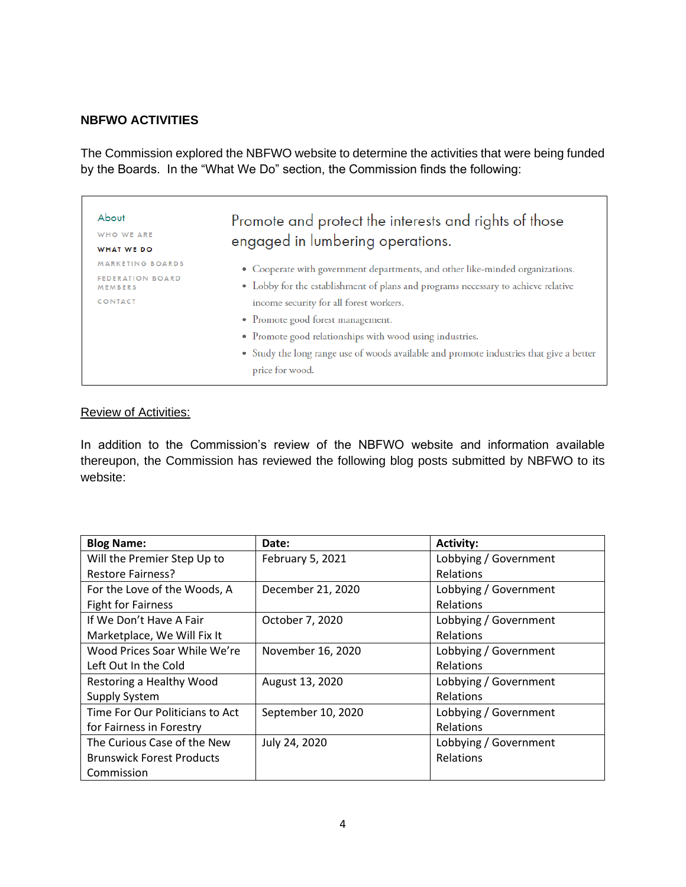# **NBFWO ACTIVITIES**

The Commission explored the NBFWO website to determine the activities that were being funded by the Boards. In the "What We Do" section, the Commission finds the following:

| About                                     | Promote and protect the interests and rights of those                                   |  |  |
|-------------------------------------------|-----------------------------------------------------------------------------------------|--|--|
| WHO WE ARE                                | engaged in lumbering operations.                                                        |  |  |
| WHAT WE DO                                |                                                                                         |  |  |
| <b>MARKETING BOARDS</b>                   | • Cooperate with government departments, and other like-minded organizations.           |  |  |
| <b>FEDERATION BOARD</b><br><b>MEMBERS</b> | • Lobby for the establishment of plans and programs necessary to achieve relative       |  |  |
| CONTACT                                   | income security for all forest workers.                                                 |  |  |
|                                           | • Promote good forest management.                                                       |  |  |
|                                           | • Promote good relationships with wood using industries.                                |  |  |
|                                           | • Study the long range use of woods available and promote industries that give a better |  |  |
|                                           | price for wood.                                                                         |  |  |

### Review of Activities:

In addition to the Commission's review of the NBFWO website and information available thereupon, the Commission has reviewed the following blog posts submitted by NBFWO to its website:

| <b>Blog Name:</b>                | Date:              | <b>Activity:</b>      |
|----------------------------------|--------------------|-----------------------|
| Will the Premier Step Up to      | February 5, 2021   | Lobbying / Government |
| <b>Restore Fairness?</b>         |                    | <b>Relations</b>      |
| For the Love of the Woods, A     | December 21, 2020  | Lobbying / Government |
| <b>Fight for Fairness</b>        |                    | Relations             |
| If We Don't Have A Fair          | October 7, 2020    | Lobbying / Government |
| Marketplace, We Will Fix It      |                    | <b>Relations</b>      |
| Wood Prices Soar While We're     | November 16, 2020  | Lobbying / Government |
| Left Out In the Cold             |                    | Relations             |
| Restoring a Healthy Wood         | August 13, 2020    | Lobbying / Government |
| <b>Supply System</b>             |                    | <b>Relations</b>      |
| Time For Our Politicians to Act  | September 10, 2020 | Lobbying / Government |
| for Fairness in Forestry         |                    | Relations             |
| The Curious Case of the New      | July 24, 2020      | Lobbying / Government |
| <b>Brunswick Forest Products</b> |                    | Relations             |
| Commission                       |                    |                       |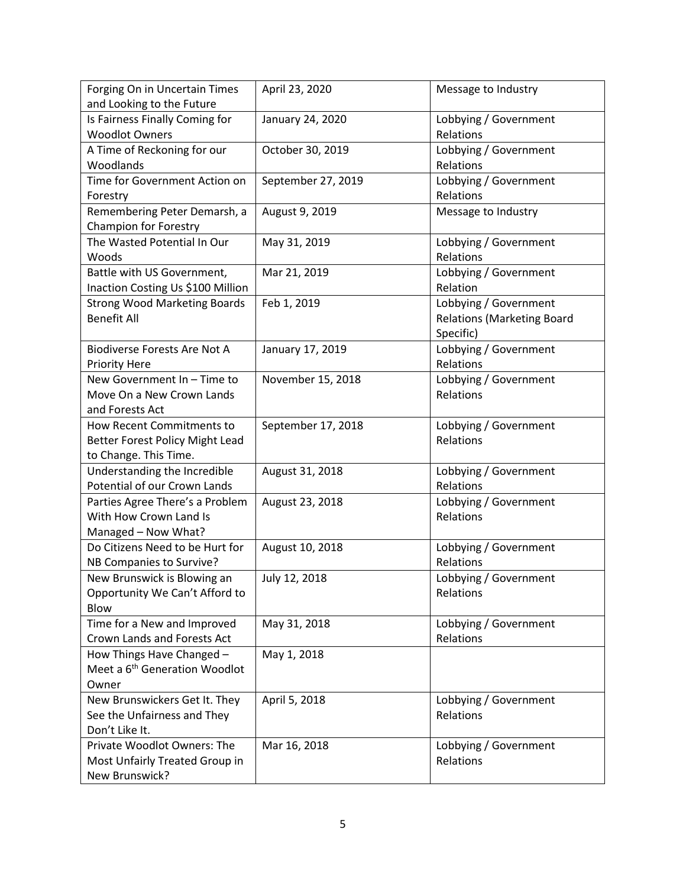| Forging On in Uncertain Times<br>and Looking to the Future                            | April 23, 2020     | Message to Industry                                                     |
|---------------------------------------------------------------------------------------|--------------------|-------------------------------------------------------------------------|
| Is Fairness Finally Coming for<br><b>Woodlot Owners</b>                               | January 24, 2020   | Lobbying / Government<br>Relations                                      |
| A Time of Reckoning for our<br>Woodlands                                              | October 30, 2019   | Lobbying / Government<br>Relations                                      |
| Time for Government Action on<br>Forestry                                             | September 27, 2019 | Lobbying / Government<br>Relations                                      |
| Remembering Peter Demarsh, a<br><b>Champion for Forestry</b>                          | August 9, 2019     | Message to Industry                                                     |
| The Wasted Potential In Our<br>Woods                                                  | May 31, 2019       | Lobbying / Government<br>Relations                                      |
| Battle with US Government,<br>Inaction Costing Us \$100 Million                       | Mar 21, 2019       | Lobbying / Government<br>Relation                                       |
| <b>Strong Wood Marketing Boards</b><br><b>Benefit All</b>                             | Feb 1, 2019        | Lobbying / Government<br><b>Relations (Marketing Board</b><br>Specific) |
| <b>Biodiverse Forests Are Not A</b><br><b>Priority Here</b>                           | January 17, 2019   | Lobbying / Government<br>Relations                                      |
| New Government In - Time to<br>Move On a New Crown Lands<br>and Forests Act           | November 15, 2018  | Lobbying / Government<br>Relations                                      |
| How Recent Commitments to<br>Better Forest Policy Might Lead<br>to Change. This Time. | September 17, 2018 | Lobbying / Government<br>Relations                                      |
| Understanding the Incredible<br>Potential of our Crown Lands                          | August 31, 2018    | Lobbying / Government<br>Relations                                      |
| Parties Agree There's a Problem<br>With How Crown Land Is<br>Managed - Now What?      | August 23, 2018    | Lobbying / Government<br>Relations                                      |
| Do Citizens Need to be Hurt for<br>NB Companies to Survive?                           | August 10, 2018    | Lobbying / Government<br>Relations                                      |
| New Brunswick is Blowing an<br>Opportunity We Can't Afford to<br>Blow                 | July 12, 2018      | Lobbying / Government<br>Relations                                      |
| Time for a New and Improved<br>Crown Lands and Forests Act                            | May 31, 2018       | Lobbying / Government<br>Relations                                      |
| How Things Have Changed -<br>Meet a 6 <sup>th</sup> Generation Woodlot<br>Owner       | May 1, 2018        |                                                                         |
| New Brunswickers Get It. They<br>See the Unfairness and They<br>Don't Like It.        | April 5, 2018      | Lobbying / Government<br>Relations                                      |
| Private Woodlot Owners: The<br>Most Unfairly Treated Group in<br>New Brunswick?       | Mar 16, 2018       | Lobbying / Government<br>Relations                                      |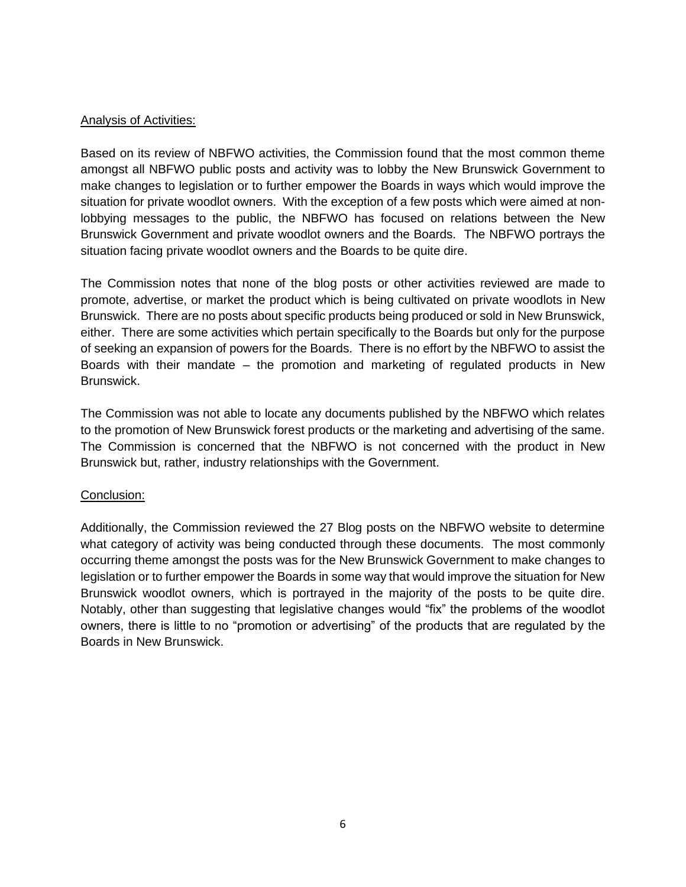# Analysis of Activities:

Based on its review of NBFWO activities, the Commission found that the most common theme amongst all NBFWO public posts and activity was to lobby the New Brunswick Government to make changes to legislation or to further empower the Boards in ways which would improve the situation for private woodlot owners. With the exception of a few posts which were aimed at nonlobbying messages to the public, the NBFWO has focused on relations between the New Brunswick Government and private woodlot owners and the Boards. The NBFWO portrays the situation facing private woodlot owners and the Boards to be quite dire.

The Commission notes that none of the blog posts or other activities reviewed are made to promote, advertise, or market the product which is being cultivated on private woodlots in New Brunswick. There are no posts about specific products being produced or sold in New Brunswick, either. There are some activities which pertain specifically to the Boards but only for the purpose of seeking an expansion of powers for the Boards. There is no effort by the NBFWO to assist the Boards with their mandate – the promotion and marketing of regulated products in New Brunswick.

The Commission was not able to locate any documents published by the NBFWO which relates to the promotion of New Brunswick forest products or the marketing and advertising of the same. The Commission is concerned that the NBFWO is not concerned with the product in New Brunswick but, rather, industry relationships with the Government.

# Conclusion:

Additionally, the Commission reviewed the 27 Blog posts on the NBFWO website to determine what category of activity was being conducted through these documents. The most commonly occurring theme amongst the posts was for the New Brunswick Government to make changes to legislation or to further empower the Boards in some way that would improve the situation for New Brunswick woodlot owners, which is portrayed in the majority of the posts to be quite dire. Notably, other than suggesting that legislative changes would "fix" the problems of the woodlot owners, there is little to no "promotion or advertising" of the products that are regulated by the Boards in New Brunswick.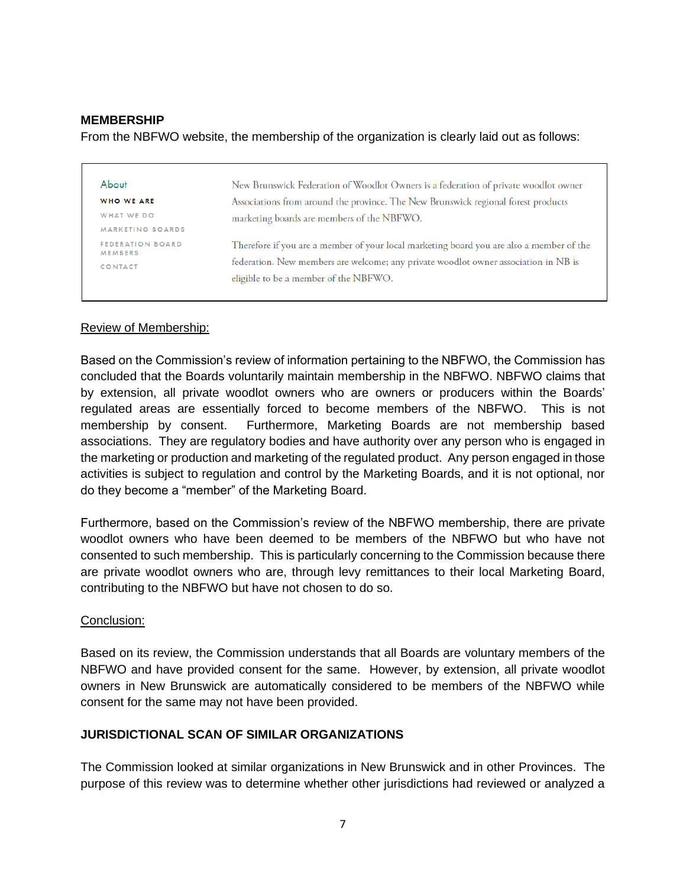### **MEMBERSHIP**

From the NBFWO website, the membership of the organization is clearly laid out as follows:

| About                                     | New Brunswick Federation of Woodlot Owners is a federation of private woodlot owner      |
|-------------------------------------------|------------------------------------------------------------------------------------------|
| <b>WHO WE ARE</b>                         | Associations from around the province. The New Brunswick regional forest products        |
| WHAT WE DO                                | marketing boards are members of the NBFWO.                                               |
| <b>MARKETING BOARDS</b>                   |                                                                                          |
| <b>FEDERATION BOARD</b><br><b>MEMBERS</b> | Therefore if you are a member of your local marketing board you are also a member of the |
| <b>CONTACT</b>                            | federation. New members are welcome; any private woodlot owner association in NB is      |
|                                           | eligible to be a member of the NBFWO.                                                    |

#### Review of Membership:

Based on the Commission's review of information pertaining to the NBFWO, the Commission has concluded that the Boards voluntarily maintain membership in the NBFWO. NBFWO claims that by extension, all private woodlot owners who are owners or producers within the Boards' regulated areas are essentially forced to become members of the NBFWO. This is not membership by consent. Furthermore, Marketing Boards are not membership based associations. They are regulatory bodies and have authority over any person who is engaged in the marketing or production and marketing of the regulated product. Any person engaged in those activities is subject to regulation and control by the Marketing Boards, and it is not optional, nor do they become a "member" of the Marketing Board.

Furthermore, based on the Commission's review of the NBFWO membership, there are private woodlot owners who have been deemed to be members of the NBFWO but who have not consented to such membership. This is particularly concerning to the Commission because there are private woodlot owners who are, through levy remittances to their local Marketing Board, contributing to the NBFWO but have not chosen to do so.

#### Conclusion:

Based on its review, the Commission understands that all Boards are voluntary members of the NBFWO and have provided consent for the same. However, by extension, all private woodlot owners in New Brunswick are automatically considered to be members of the NBFWO while consent for the same may not have been provided.

# **JURISDICTIONAL SCAN OF SIMILAR ORGANIZATIONS**

The Commission looked at similar organizations in New Brunswick and in other Provinces. The purpose of this review was to determine whether other jurisdictions had reviewed or analyzed a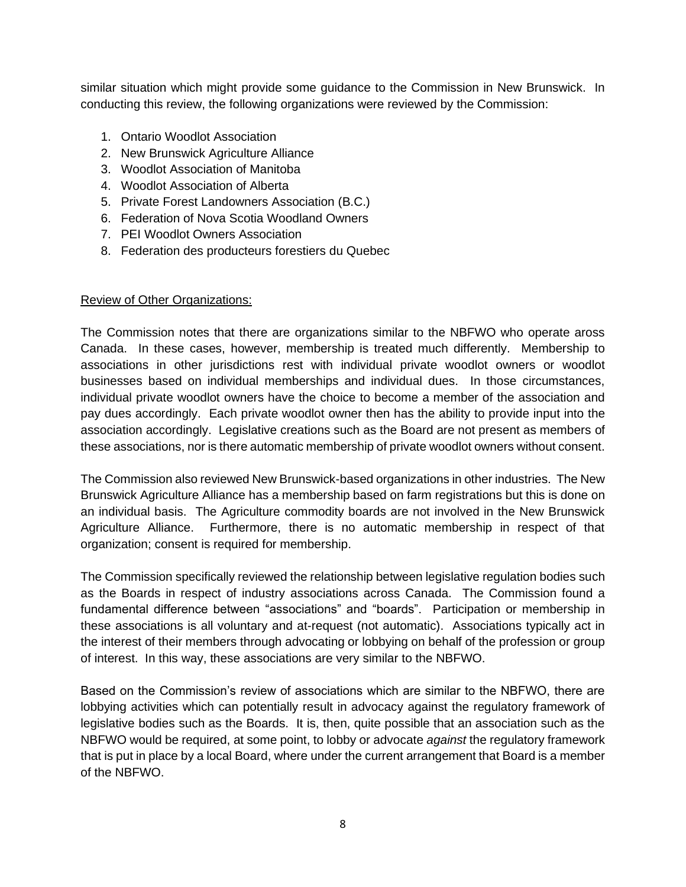similar situation which might provide some guidance to the Commission in New Brunswick. In conducting this review, the following organizations were reviewed by the Commission:

- 1. Ontario Woodlot Association
- 2. New Brunswick Agriculture Alliance
- 3. Woodlot Association of Manitoba
- 4. Woodlot Association of Alberta
- 5. Private Forest Landowners Association (B.C.)
- 6. Federation of Nova Scotia Woodland Owners
- 7. PEI Woodlot Owners Association
- 8. Federation des producteurs forestiers du Quebec

# Review of Other Organizations:

The Commission notes that there are organizations similar to the NBFWO who operate aross Canada. In these cases, however, membership is treated much differently. Membership to associations in other jurisdictions rest with individual private woodlot owners or woodlot businesses based on individual memberships and individual dues. In those circumstances, individual private woodlot owners have the choice to become a member of the association and pay dues accordingly. Each private woodlot owner then has the ability to provide input into the association accordingly. Legislative creations such as the Board are not present as members of these associations, nor is there automatic membership of private woodlot owners without consent.

The Commission also reviewed New Brunswick-based organizations in other industries. The New Brunswick Agriculture Alliance has a membership based on farm registrations but this is done on an individual basis. The Agriculture commodity boards are not involved in the New Brunswick Agriculture Alliance. Furthermore, there is no automatic membership in respect of that organization; consent is required for membership.

The Commission specifically reviewed the relationship between legislative regulation bodies such as the Boards in respect of industry associations across Canada. The Commission found a fundamental difference between "associations" and "boards". Participation or membership in these associations is all voluntary and at-request (not automatic). Associations typically act in the interest of their members through advocating or lobbying on behalf of the profession or group of interest. In this way, these associations are very similar to the NBFWO.

Based on the Commission's review of associations which are similar to the NBFWO, there are lobbying activities which can potentially result in advocacy against the regulatory framework of legislative bodies such as the Boards. It is, then, quite possible that an association such as the NBFWO would be required, at some point, to lobby or advocate *against* the regulatory framework that is put in place by a local Board, where under the current arrangement that Board is a member of the NBFWO.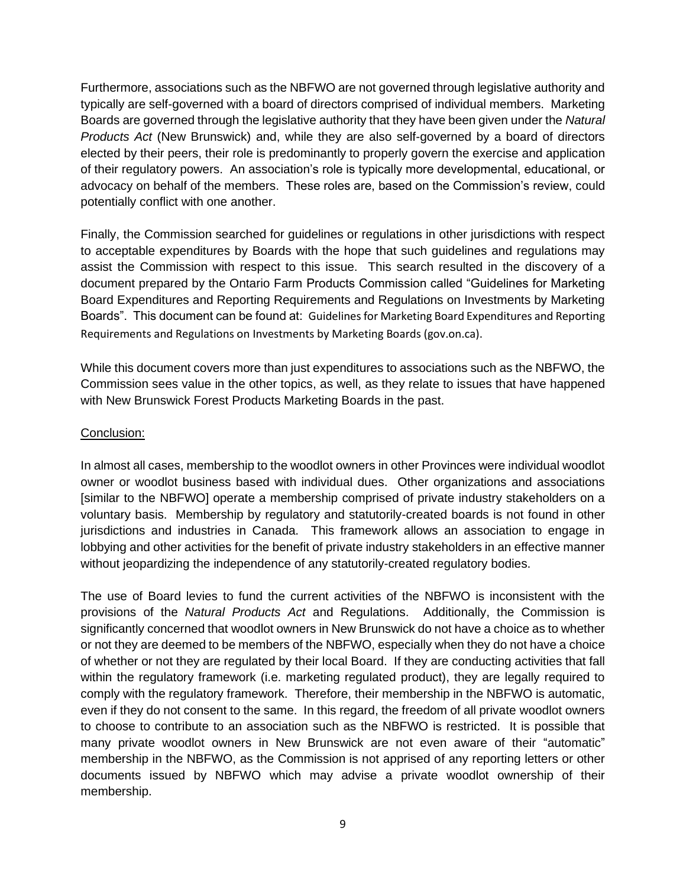Furthermore, associations such as the NBFWO are not governed through legislative authority and typically are self-governed with a board of directors comprised of individual members. Marketing Boards are governed through the legislative authority that they have been given under the *Natural Products Act* (New Brunswick) and, while they are also self-governed by a board of directors elected by their peers, their role is predominantly to properly govern the exercise and application of their regulatory powers. An association's role is typically more developmental, educational, or advocacy on behalf of the members. These roles are, based on the Commission's review, could potentially conflict with one another.

Finally, the Commission searched for guidelines or regulations in other jurisdictions with respect to acceptable expenditures by Boards with the hope that such guidelines and regulations may assist the Commission with respect to this issue. This search resulted in the discovery of a document prepared by the Ontario Farm Products Commission called "Guidelines for Marketing Board Expenditures and Reporting Requirements and Regulations on Investments by Marketing Boards". This document can be found at: Guidelines for Marketing Board Expenditures and Reporting Requirements and Regulations on Investments by Marketing Boards (gov.on.ca).

While this document covers more than just expenditures to associations such as the NBFWO, the Commission sees value in the other topics, as well, as they relate to issues that have happened with New Brunswick Forest Products Marketing Boards in the past.

# Conclusion:

In almost all cases, membership to the woodlot owners in other Provinces were individual woodlot owner or woodlot business based with individual dues. Other organizations and associations [similar to the NBFWO] operate a membership comprised of private industry stakeholders on a voluntary basis. Membership by regulatory and statutorily-created boards is not found in other jurisdictions and industries in Canada. This framework allows an association to engage in lobbying and other activities for the benefit of private industry stakeholders in an effective manner without jeopardizing the independence of any statutorily-created regulatory bodies.

The use of Board levies to fund the current activities of the NBFWO is inconsistent with the provisions of the *Natural Products Act* and Regulations. Additionally, the Commission is significantly concerned that woodlot owners in New Brunswick do not have a choice as to whether or not they are deemed to be members of the NBFWO, especially when they do not have a choice of whether or not they are regulated by their local Board. If they are conducting activities that fall within the regulatory framework (i.e. marketing regulated product), they are legally required to comply with the regulatory framework. Therefore, their membership in the NBFWO is automatic, even if they do not consent to the same. In this regard, the freedom of all private woodlot owners to choose to contribute to an association such as the NBFWO is restricted. It is possible that many private woodlot owners in New Brunswick are not even aware of their "automatic" membership in the NBFWO, as the Commission is not apprised of any reporting letters or other documents issued by NBFWO which may advise a private woodlot ownership of their membership.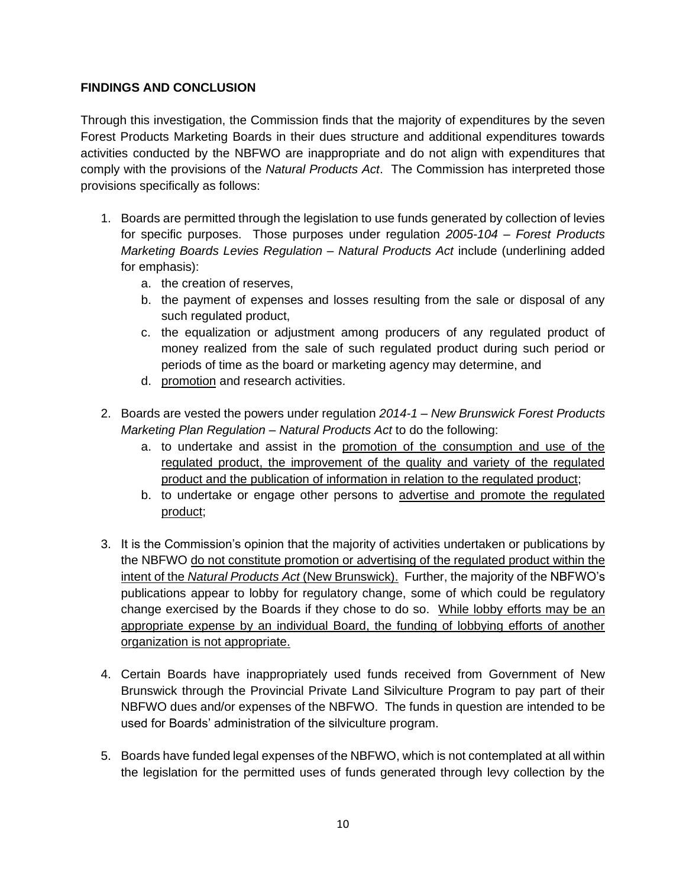# **FINDINGS AND CONCLUSION**

Through this investigation, the Commission finds that the majority of expenditures by the seven Forest Products Marketing Boards in their dues structure and additional expenditures towards activities conducted by the NBFWO are inappropriate and do not align with expenditures that comply with the provisions of the *Natural Products Act*. The Commission has interpreted those provisions specifically as follows:

- 1. Boards are permitted through the legislation to use funds generated by collection of levies for specific purposes. Those purposes under regulation *2005-104 – Forest Products Marketing Boards Levies Regulation – Natural Products Act* include (underlining added for emphasis):
	- a. the creation of reserves,
	- b. the payment of expenses and losses resulting from the sale or disposal of any such regulated product,
	- c. the equalization or adjustment among producers of any regulated product of money realized from the sale of such regulated product during such period or periods of time as the board or marketing agency may determine, and
	- d. promotion and research activities.
- 2. Boards are vested the powers under regulation *2014-1 – New Brunswick Forest Products Marketing Plan Regulation – Natural Products Act* to do the following:
	- a. to undertake and assist in the promotion of the consumption and use of the regulated product, the improvement of the quality and variety of the regulated product and the publication of information in relation to the regulated product;
	- b. to undertake or engage other persons to advertise and promote the regulated product;
- 3. It is the Commission's opinion that the majority of activities undertaken or publications by the NBFWO do not constitute promotion or advertising of the regulated product within the intent of the *Natural Products Act* (New Brunswick). Further, the majority of the NBFWO's publications appear to lobby for regulatory change, some of which could be regulatory change exercised by the Boards if they chose to do so. While lobby efforts may be an appropriate expense by an individual Board, the funding of lobbying efforts of another organization is not appropriate.
- 4. Certain Boards have inappropriately used funds received from Government of New Brunswick through the Provincial Private Land Silviculture Program to pay part of their NBFWO dues and/or expenses of the NBFWO. The funds in question are intended to be used for Boards' administration of the silviculture program.
- 5. Boards have funded legal expenses of the NBFWO, which is not contemplated at all within the legislation for the permitted uses of funds generated through levy collection by the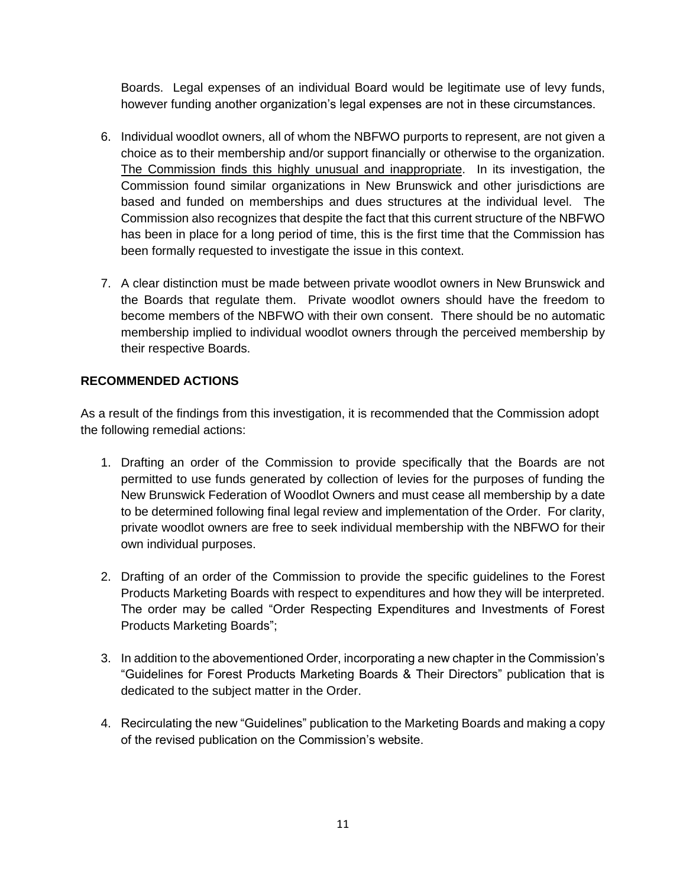Boards. Legal expenses of an individual Board would be legitimate use of levy funds, however funding another organization's legal expenses are not in these circumstances.

- 6. Individual woodlot owners, all of whom the NBFWO purports to represent, are not given a choice as to their membership and/or support financially or otherwise to the organization. The Commission finds this highly unusual and inappropriate. In its investigation, the Commission found similar organizations in New Brunswick and other jurisdictions are based and funded on memberships and dues structures at the individual level. The Commission also recognizes that despite the fact that this current structure of the NBFWO has been in place for a long period of time, this is the first time that the Commission has been formally requested to investigate the issue in this context.
- 7. A clear distinction must be made between private woodlot owners in New Brunswick and the Boards that regulate them. Private woodlot owners should have the freedom to become members of the NBFWO with their own consent. There should be no automatic membership implied to individual woodlot owners through the perceived membership by their respective Boards.

# **RECOMMENDED ACTIONS**

As a result of the findings from this investigation, it is recommended that the Commission adopt the following remedial actions:

- 1. Drafting an order of the Commission to provide specifically that the Boards are not permitted to use funds generated by collection of levies for the purposes of funding the New Brunswick Federation of Woodlot Owners and must cease all membership by a date to be determined following final legal review and implementation of the Order. For clarity, private woodlot owners are free to seek individual membership with the NBFWO for their own individual purposes.
- 2. Drafting of an order of the Commission to provide the specific guidelines to the Forest Products Marketing Boards with respect to expenditures and how they will be interpreted. The order may be called "Order Respecting Expenditures and Investments of Forest Products Marketing Boards";
- 3. In addition to the abovementioned Order, incorporating a new chapter in the Commission's "Guidelines for Forest Products Marketing Boards & Their Directors" publication that is dedicated to the subject matter in the Order.
- 4. Recirculating the new "Guidelines" publication to the Marketing Boards and making a copy of the revised publication on the Commission's website.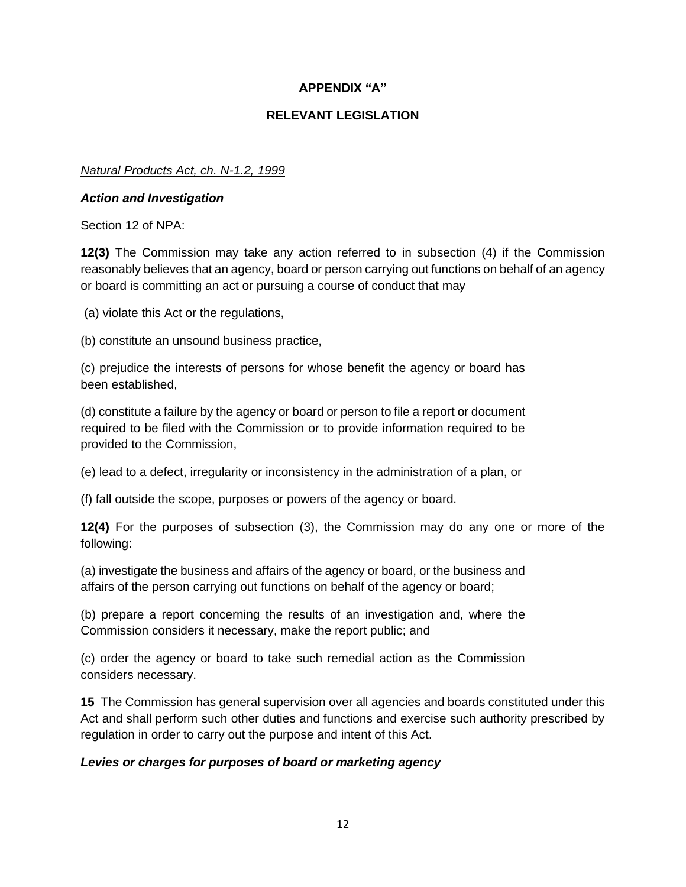# **APPENDIX "A"**

# **RELEVANT LEGISLATION**

# *Natural Products Act, ch. N-1.2, 1999*

### *Action and Investigation*

Section 12 of NPA:

**12(3)** The Commission may take any action referred to in subsection (4) if the Commission reasonably believes that an agency, board or person carrying out functions on behalf of an agency or board is committing an act or pursuing a course of conduct that may

(a) violate this Act or the regulations,

(b) constitute an unsound business practice,

(c) prejudice the interests of persons for whose benefit the agency or board has been established,

(d) constitute a failure by the agency or board or person to file a report or document required to be filed with the Commission or to provide information required to be provided to the Commission,

(e) lead to a defect, irregularity or inconsistency in the administration of a plan, or

(f) fall outside the scope, purposes or powers of the agency or board.

**12(4)** For the purposes of subsection (3), the Commission may do any one or more of the following:

(a) investigate the business and affairs of the agency or board, or the business and affairs of the person carrying out functions on behalf of the agency or board;

(b) prepare a report concerning the results of an investigation and, where the Commission considers it necessary, make the report public; and

(c) order the agency or board to take such remedial action as the Commission considers necessary.

**15** The Commission has general supervision over all agencies and boards constituted under this Act and shall perform such other duties and functions and exercise such authority prescribed by regulation in order to carry out the purpose and intent of this Act.

#### *Levies or charges for purposes of board or marketing agency*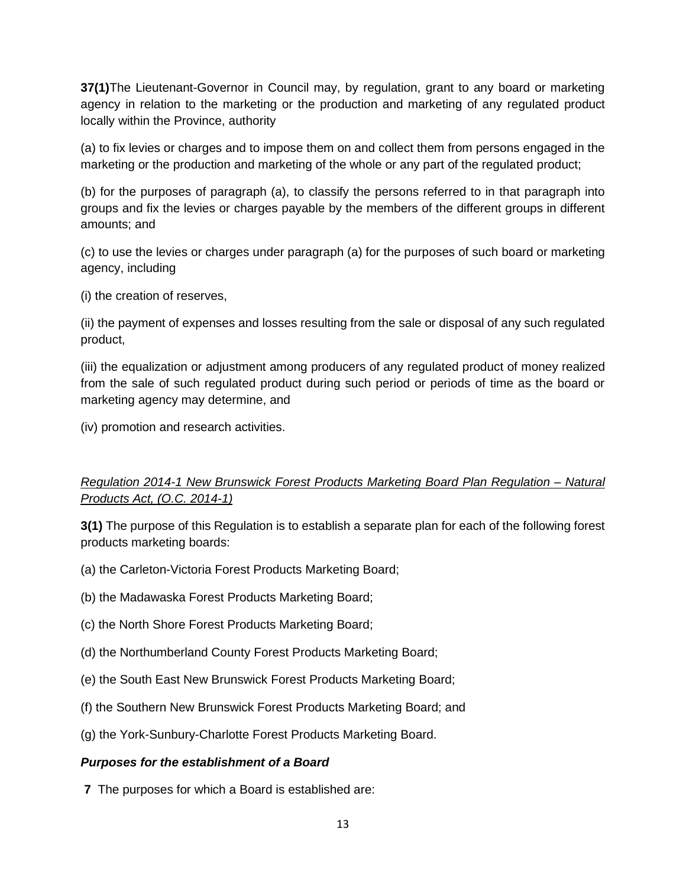**37(1)**The Lieutenant-Governor in Council may, by regulation, grant to any board or marketing agency in relation to the marketing or the production and marketing of any regulated product locally within the Province, authority

(a) to fix levies or charges and to impose them on and collect them from persons engaged in the marketing or the production and marketing of the whole or any part of the regulated product;

(b) for the purposes of paragraph (a), to classify the persons referred to in that paragraph into groups and fix the levies or charges payable by the members of the different groups in different amounts; and

(c) to use the levies or charges under paragraph (a) for the purposes of such board or marketing agency, including

(i) the creation of reserves,

(ii) the payment of expenses and losses resulting from the sale or disposal of any such regulated product,

(iii) the equalization or adjustment among producers of any regulated product of money realized from the sale of such regulated product during such period or periods of time as the board or marketing agency may determine, and

(iv) promotion and research activities.

# *Regulation 2014-1 New Brunswick Forest Products Marketing Board Plan Regulation – Natural Products Act, (O.C. 2014-1)*

**3(1)** The purpose of this Regulation is to establish a separate plan for each of the following forest products marketing boards:

- (a) the Carleton-Victoria Forest Products Marketing Board;
- (b) the Madawaska Forest Products Marketing Board;
- (c) the North Shore Forest Products Marketing Board;
- (d) the Northumberland County Forest Products Marketing Board;
- (e) the South East New Brunswick Forest Products Marketing Board;
- (f) the Southern New Brunswick Forest Products Marketing Board; and
- (g) the York-Sunbury-Charlotte Forest Products Marketing Board.

# *Purposes for the establishment of a Board*

**7** The purposes for which a Board is established are: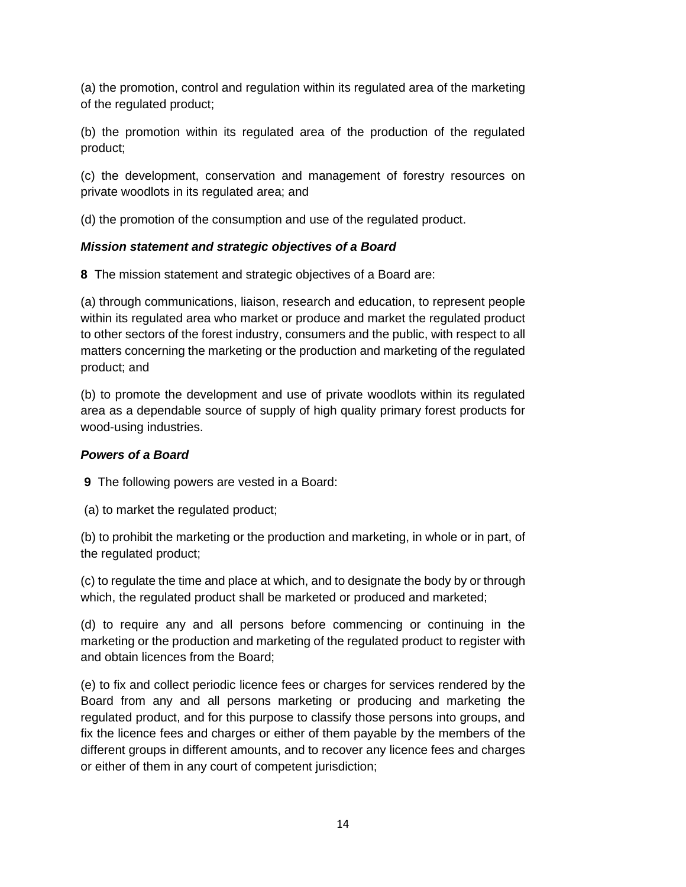(a) the promotion, control and regulation within its regulated area of the marketing of the regulated product;

(b) the promotion within its regulated area of the production of the regulated product;

(c) the development, conservation and management of forestry resources on private woodlots in its regulated area; and

(d) the promotion of the consumption and use of the regulated product.

# *Mission statement and strategic objectives of a Board*

**8** The mission statement and strategic objectives of a Board are:

(a) through communications, liaison, research and education, to represent people within its regulated area who market or produce and market the regulated product to other sectors of the forest industry, consumers and the public, with respect to all matters concerning the marketing or the production and marketing of the regulated product; and

(b) to promote the development and use of private woodlots within its regulated area as a dependable source of supply of high quality primary forest products for wood-using industries.

# *Powers of a Board*

**9** The following powers are vested in a Board:

(a) to market the regulated product;

(b) to prohibit the marketing or the production and marketing, in whole or in part, of the regulated product;

(c) to regulate the time and place at which, and to designate the body by or through which, the regulated product shall be marketed or produced and marketed;

(d) to require any and all persons before commencing or continuing in the marketing or the production and marketing of the regulated product to register with and obtain licences from the Board;

(e) to fix and collect periodic licence fees or charges for services rendered by the Board from any and all persons marketing or producing and marketing the regulated product, and for this purpose to classify those persons into groups, and fix the licence fees and charges or either of them payable by the members of the different groups in different amounts, and to recover any licence fees and charges or either of them in any court of competent jurisdiction;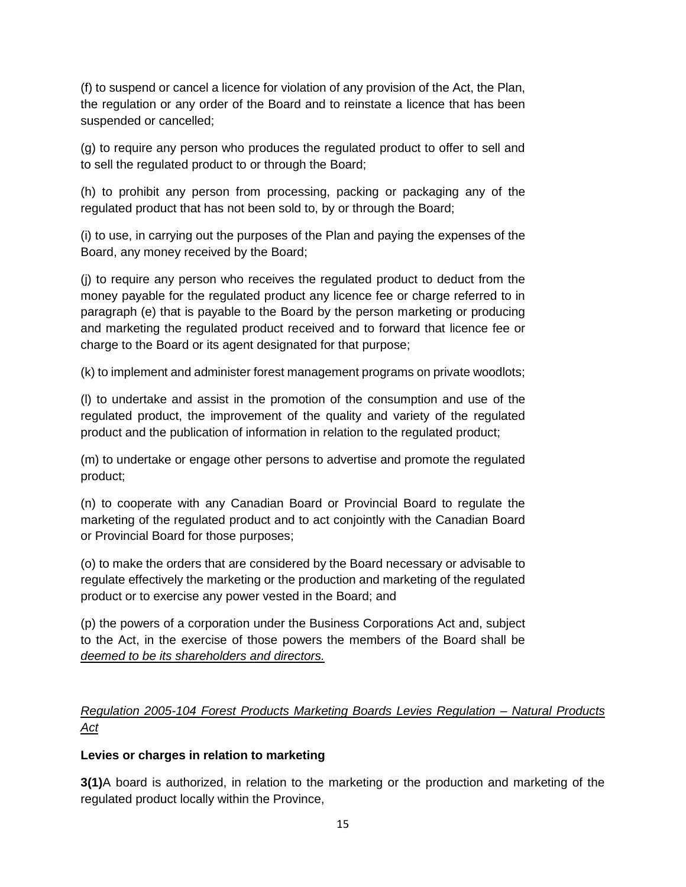(f) to suspend or cancel a licence for violation of any provision of the Act, the Plan, the regulation or any order of the Board and to reinstate a licence that has been suspended or cancelled;

(g) to require any person who produces the regulated product to offer to sell and to sell the regulated product to or through the Board;

(h) to prohibit any person from processing, packing or packaging any of the regulated product that has not been sold to, by or through the Board;

(i) to use, in carrying out the purposes of the Plan and paying the expenses of the Board, any money received by the Board;

(j) to require any person who receives the regulated product to deduct from the money payable for the regulated product any licence fee or charge referred to in paragraph (e) that is payable to the Board by the person marketing or producing and marketing the regulated product received and to forward that licence fee or charge to the Board or its agent designated for that purpose;

(k) to implement and administer forest management programs on private woodlots;

(l) to undertake and assist in the promotion of the consumption and use of the regulated product, the improvement of the quality and variety of the regulated product and the publication of information in relation to the regulated product;

(m) to undertake or engage other persons to advertise and promote the regulated product;

(n) to cooperate with any Canadian Board or Provincial Board to regulate the marketing of the regulated product and to act conjointly with the Canadian Board or Provincial Board for those purposes;

(o) to make the orders that are considered by the Board necessary or advisable to regulate effectively the marketing or the production and marketing of the regulated product or to exercise any power vested in the Board; and

(p) the powers of a corporation under the Business Corporations Act and, subject to the Act, in the exercise of those powers the members of the Board shall be *deemed to be its shareholders and directors.*

# *Regulation 2005-104 Forest Products Marketing Boards Levies Regulation – Natural Products Act*

# **Levies or charges in relation to marketing**

**3(1)**A board is authorized, in relation to the marketing or the production and marketing of the regulated product locally within the Province,